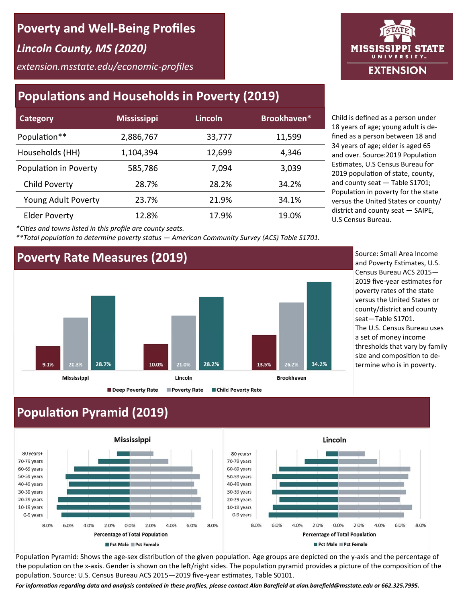## **Poverty and Well‐Being Profiles**

*Lincoln County, MS (2020)* 

*extension.msstate.edu/economic‐profiles* 

## **Populations and Households in Poverty (2019)**

| <b>Category</b>       | <b>Mississippi</b> | Lincoln | Brookhaven* |
|-----------------------|--------------------|---------|-------------|
| Population**          | 2,886,767          | 33,777  | 11,599      |
| Households (HH)       | 1,104,394          | 12,699  | 4,346       |
| Population in Poverty | 585,786            | 7,094   | 3,039       |
| Child Poverty         | 28.7%              | 28.2%   | 34.2%       |
| Young Adult Poverty   | 23.7%              | 21.9%   | 34.1%       |
| <b>Elder Poverty</b>  | 12.8%              | 17.9%   | 19.0%       |

Child is defined as a person under 18 years of age; young adult is de‐ fined as a person between 18 and 34 years of age; elder is aged 65 and over. Source: 2019 Population Estimates, U.S Census Bureau for 2019 population of state, county, and county seat — Table S1701; Population in poverty for the state versus the United States or county/ district and county seat — SAIPE, U.S Census Bureau.

*\*CiƟes and towns listed in this profile are county seats.* 

*\*\*Total populaƟon to determine poverty status — American Community Survey (ACS) Table S1701.* 

#### **Poverty Rate Measures (2019)**



Source: Small Area Income and Poverty Estimates, U.S. Census Bureau ACS 2015— 2019 five-vear estimates for poverty rates of the state versus the United States or county/district and county seat—Table S1701. The U.S. Census Bureau uses a set of money income thresholds that vary by family size and composition to determine who is in poverty.

## **Population Pyramid (2019)**



Population Pyramid: Shows the age-sex distribution of the given population. Age groups are depicted on the y-axis and the percentage of the population on the x-axis. Gender is shown on the left/right sides. The population pyramid provides a picture of the composition of the population. Source: U.S. Census Bureau ACS 2015—2019 five-year estimates, Table S0101.

For information regarding data and analysis contained in these profiles, please contact Alan Barefield at alan.barefield@msstate.edu or 662.325.7995.

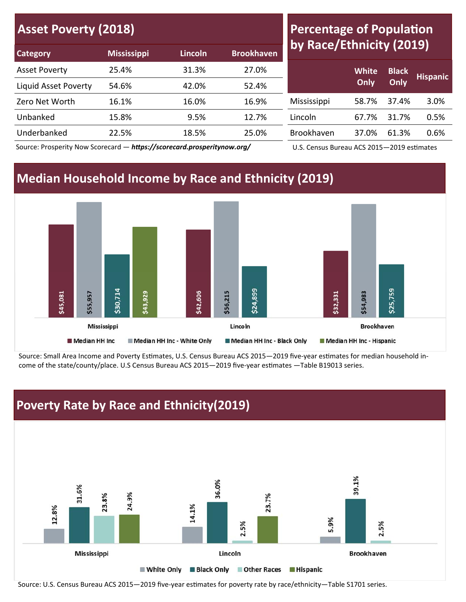| <b>Asset Poverty (2018)</b> |                    |         |                   |  |  |  |
|-----------------------------|--------------------|---------|-------------------|--|--|--|
| <b>Category</b>             | <b>Mississippi</b> | Lincoln | <b>Brookhaven</b> |  |  |  |

## **Percentage of Population by Race/Ethnicity (2019)**

| $      -$            | <u></u> | .     | ----------- |             |              |              |                 |
|----------------------|---------|-------|-------------|-------------|--------------|--------------|-----------------|
| <b>Asset Poverty</b> | 25.4%   | 31.3% | 27.0%       |             | <b>White</b> | <b>Black</b> | <b>Hispanic</b> |
| Liquid Asset Poverty | 54.6%   | 42.0% | 52.4%       |             | Only         | Only         |                 |
| Zero Net Worth       | 16.1%   | 16.0% | 16.9%       | Mississippi | 58.7%        | 37.4%        | 3.0%            |
| Unbanked             | 15.8%   | 9.5%  | 12.7%       | Lincoln     | 67.7%        | 31.7%        | 0.5%            |
| Underbanked          | 22.5%   | 18.5% | 25.0%       | Brookhaven  | 37.0%        | 61.3%        | 0.6%            |
|                      |         |       |             |             |              |              |                 |

Source: Prosperity Now Scorecard — https://scorecard.prosperitynow.org/

U.S. Census Bureau ACS 2015-2019 estimates

## **Median Household Income by Race and Ethnicity (2019)**



Source: Small Area Income and Poverty Estimates, U.S. Census Bureau ACS 2015—2019 five-year estimates for median household income of the state/county/place. U.S Census Bureau ACS 2015–2019 five-year estimates -Table B19013 series.



Source: U.S. Census Bureau ACS 2015-2019 five-year estimates for poverty rate by race/ethnicity-Table S1701 series.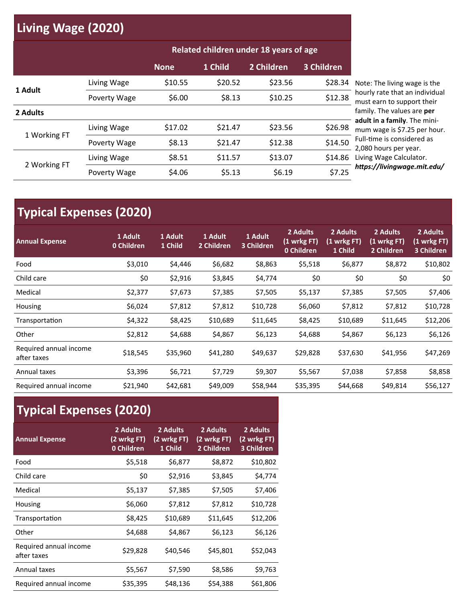# **Living Wage (2020)**

|              |              | Related children under 18 years of age |         |            |            |                                                              |
|--------------|--------------|----------------------------------------|---------|------------|------------|--------------------------------------------------------------|
|              |              | <b>None</b>                            | 1 Child | 2 Children | 3 Children |                                                              |
| 1 Adult      | Living Wage  | \$10.55                                | \$20.52 | \$23.56    | \$28.34    | Note: The living wage is the                                 |
|              | Poverty Wage | \$6.00                                 | \$8.13  | \$10.25    | \$12.38    | hourly rate that an individual<br>must earn to support their |
| 2 Adults     |              |                                        |         |            |            | family. The values are per                                   |
| 1 Working FT | Living Wage  | \$17.02                                | \$21.47 | \$23.56    | \$26.98    | adult in a family. The mini-<br>mum wage is \$7.25 per hour. |
|              | Poverty Wage | \$8.13                                 | \$21.47 | \$12.38    | \$14.50    | Full-time is considered as<br>2,080 hours per year.          |
| 2 Working FT | Living Wage  | \$8.51                                 | \$11.57 | \$13.07    | \$14.86    | Living Wage Calculator.                                      |
|              | Poverty Wage | \$4.06                                 | \$5.13  | \$6.19     | \$7.25     | https://livingwage.mit.edu/                                  |

# **Typical Expenses (2020)**

| <b>Annual Expense</b>                 | 1 Adult<br>0 Children | 1 Adult<br>1 Child | 1 Adult<br>2 Children | 1 Adult<br>3 Children | 2 Adults<br>(1 wrkg FT)<br>0 Children | 2 Adults<br>(1 wrkg FT)<br>1 Child | 2 Adults<br>(1 wrkg FT)<br>2 Children | 2 Adults<br>(1 wrkg FT)<br>3 Children |
|---------------------------------------|-----------------------|--------------------|-----------------------|-----------------------|---------------------------------------|------------------------------------|---------------------------------------|---------------------------------------|
| Food                                  | \$3,010               | \$4,446            | \$6,682               | \$8,863               | \$5,518                               | \$6,877                            | \$8,872                               | \$10,802                              |
| Child care                            | \$0                   | \$2,916            | \$3,845               | \$4,774               | \$0                                   | \$0                                | \$0                                   | \$0                                   |
| Medical                               | \$2,377               | \$7,673            | \$7,385               | \$7,505               | \$5,137                               | \$7,385                            | \$7,505                               | \$7,406                               |
| Housing                               | \$6,024               | \$7,812            | \$7,812               | \$10,728              | \$6,060                               | \$7,812                            | \$7,812                               | \$10,728                              |
| Transportation                        | \$4,322               | \$8,425            | \$10,689              | \$11,645              | \$8,425                               | \$10,689                           | \$11,645                              | \$12,206                              |
| Other                                 | \$2,812               | \$4,688            | \$4,867               | \$6,123               | \$4,688                               | \$4,867                            | \$6,123                               | \$6,126                               |
| Required annual income<br>after taxes | \$18,545              | \$35,960           | \$41,280              | \$49,637              | \$29,828                              | \$37,630                           | \$41,956                              | \$47,269                              |
| Annual taxes                          | \$3,396               | \$6,721            | \$7,729               | \$9,307               | \$5,567                               | \$7,038                            | \$7,858                               | \$8,858                               |
| Required annual income                | \$21,940              | \$42,681           | \$49,009              | \$58,944              | \$35,395                              | \$44,668                           | \$49,814                              | \$56,127                              |

# **Typical Expenses (2020)**

| <b>Annual Expense</b>                 | 2 Adults<br>(2 wrkg FT)<br>0 Children | 2 Adults<br>(2 wrkg FT)<br>1 Child | 2 Adults<br>(2 wrkg FT)<br>2 Children | 2 Adults<br>(2 wrkg FT)<br>3 Children |
|---------------------------------------|---------------------------------------|------------------------------------|---------------------------------------|---------------------------------------|
| Food                                  | \$5,518                               | \$6,877                            | \$8,872                               | \$10,802                              |
| Child care                            | \$0                                   | \$2,916                            | \$3,845                               | \$4,774                               |
| Medical                               | \$5,137                               | \$7,385                            | \$7,505                               | \$7,406                               |
| Housing                               | \$6,060                               | \$7,812                            | \$7,812                               | \$10,728                              |
| Transportation                        | \$8,425                               | \$10,689                           | \$11,645                              | \$12,206                              |
| Other                                 | \$4,688                               | \$4,867                            | \$6,123                               | \$6,126                               |
| Required annual income<br>after taxes | \$29,828                              | \$40,546                           | \$45,801                              | \$52,043                              |
| Annual taxes                          | \$5,567                               | \$7,590                            | \$8,586                               | \$9,763                               |
| Required annual income                | \$35,395                              | \$48,136                           | \$54,388                              | \$61,806                              |